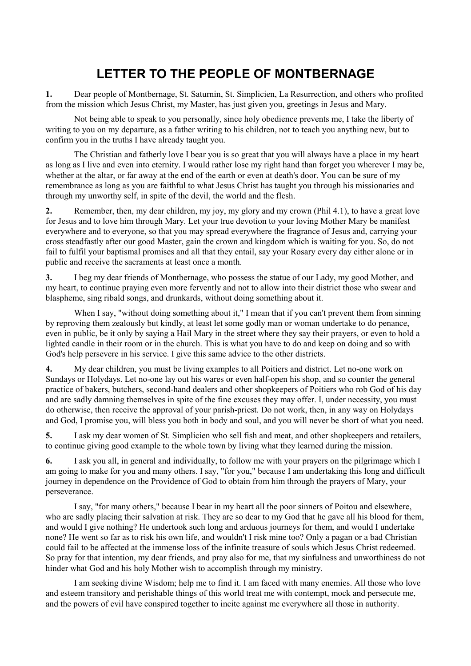## **LETTER TO THE PEOPLE OF MONTBERNAGE**

**1.** Dear people of Montbernage, St. Saturnin, St. Simplicien, La Resurrection, and others who profited from the mission which Jesus Christ, my Master, has just given you, greetings in Jesus and Mary.

 Not being able to speak to you personally, since holy obedience prevents me, I take the liberty of writing to you on my departure, as a father writing to his children, not to teach you anything new, but to confirm you in the truths I have already taught you.

 The Christian and fatherly love I bear you is so great that you will always have a place in my heart as long as I live and even into eternity. I would rather lose my right hand than forget you wherever I may be, whether at the altar, or far away at the end of the earth or even at death's door. You can be sure of my remembrance as long as you are faithful to what Jesus Christ has taught you through his missionaries and through my unworthy self, in spite of the devil, the world and the flesh.

**2.** Remember, then, my dear children, my joy, my glory and my crown (Phil 4.1), to have a great love for Jesus and to love him through Mary. Let your true devotion to your loving Mother Mary be manifest everywhere and to everyone, so that you may spread everywhere the fragrance of Jesus and, carrying your cross steadfastly after our good Master, gain the crown and kingdom which is waiting for you. So, do not fail to fulfil your baptismal promises and all that they entail, say your Rosary every day either alone or in public and receive the sacraments at least once a month.

**3.** I beg my dear friends of Montbernage, who possess the statue of our Lady, my good Mother, and my heart, to continue praying even more fervently and not to allow into their district those who swear and blaspheme, sing ribald songs, and drunkards, without doing something about it.

When I say, "without doing something about it." I mean that if you can't prevent them from sinning by reproving them zealously but kindly, at least let some godly man or woman undertake to do penance, even in public, be it only by saying a Hail Mary in the street where they say their prayers, or even to hold a lighted candle in their room or in the church. This is what you have to do and keep on doing and so with God's help persevere in his service. I give this same advice to the other districts.

**4.** My dear children, you must be living examples to all Poitiers and district. Let no-one work on Sundays or Holydays. Let no-one lay out his wares or even half-open his shop, and so counter the general practice of bakers, butchers, second-hand dealers and other shopkeepers of Poitiers who rob God of his day and are sadly damning themselves in spite of the fine excuses they may offer. I, under necessity, you must do otherwise, then receive the approval of your parish-priest. Do not work, then, in any way on Holydays and God, I promise you, will bless you both in body and soul, and you will never be short of what you need.

**5.** I ask my dear women of St. Simplicien who sell fish and meat, and other shopkeepers and retailers, to continue giving good example to the whole town by living what they learned during the mission.

**6.** I ask you all, in general and individually, to follow me with your prayers on the pilgrimage which I am going to make for you and many others. I say, "for you," because I am undertaking this long and difficult journey in dependence on the Providence of God to obtain from him through the prayers of Mary, your perseverance.

 I say, "for many others," because I bear in my heart all the poor sinners of Poitou and elsewhere, who are sadly placing their salvation at risk. They are so dear to my God that he gave all his blood for them, and would I give nothing? He undertook such long and arduous journeys for them, and would I undertake none? He went so far as to risk his own life, and wouldn't I risk mine too? Only a pagan or a bad Christian could fail to be affected at the immense loss of the infinite treasure of souls which Jesus Christ redeemed. So pray for that intention, my dear friends, and pray also for me, that my sinfulness and unworthiness do not hinder what God and his holy Mother wish to accomplish through my ministry.

 I am seeking divine Wisdom; help me to find it. I am faced with many enemies. All those who love and esteem transitory and perishable things of this world treat me with contempt, mock and persecute me, and the powers of evil have conspired together to incite against me everywhere all those in authority.